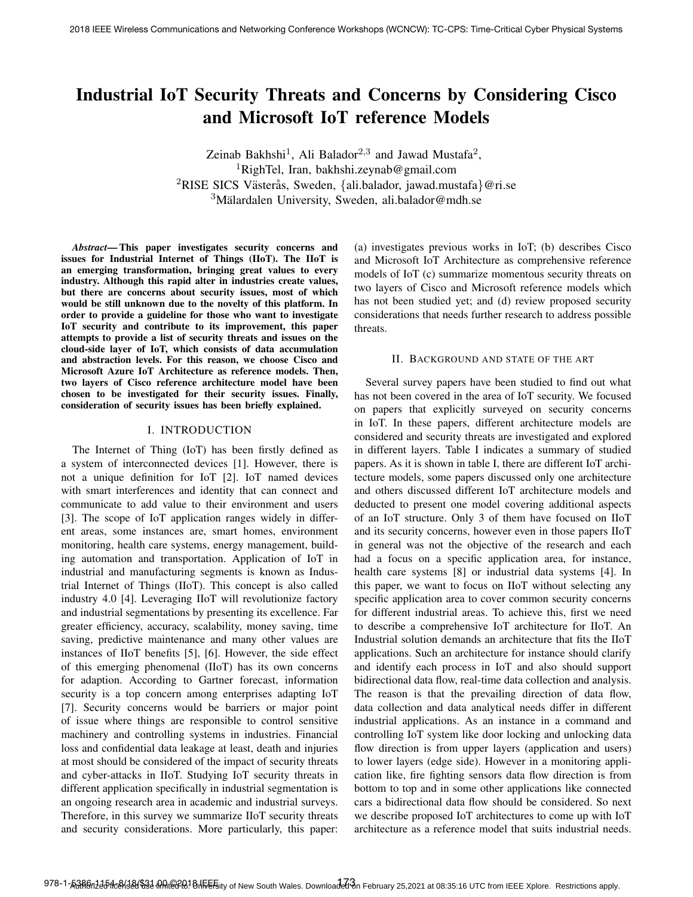# Industrial IoT Security Threats and Concerns by Considering Cisco and Microsoft IoT reference Models

Zeinab Bakhshi<sup>1</sup>, Ali Balador<sup>2,3</sup> and Jawad Mustafa<sup>2</sup>, <sup>1</sup>RighTel, Iran, bakhshi.zeynab@gmail.com <sup>2</sup>RISE SICS Västerås, Sweden, {ali.balador, jawad.mustafa}@ri.se  $3$ Mälardalen University, Sweden, ali.balador@mdh.se

*Abstract*— This paper investigates security concerns and issues for Industrial Internet of Things (IIoT). The IIoT is an emerging transformation, bringing great values to every industry. Although this rapid alter in industries create values, but there are concerns about security issues, most of which would be still unknown due to the novelty of this platform. In order to provide a guideline for those who want to investigate IoT security and contribute to its improvement, this paper attempts to provide a list of security threats and issues on the cloud-side layer of IoT, which consists of data accumulation and abstraction levels. For this reason, we choose Cisco and Microsoft Azure IoT Architecture as reference models. Then, two layers of Cisco reference architecture model have been chosen to be investigated for their security issues. Finally, consideration of security issues has been briefly explained.

## I. INTRODUCTION

The Internet of Thing (IoT) has been firstly defined as a system of interconnected devices [1]. However, there is not a unique definition for IoT [2]. IoT named devices with smart interferences and identity that can connect and communicate to add value to their environment and users [3]. The scope of IoT application ranges widely in different areas, some instances are, smart homes, environment monitoring, health care systems, energy management, building automation and transportation. Application of IoT in industrial and manufacturing segments is known as Industrial Internet of Things (IIoT). This concept is also called industry 4.0 [4]. Leveraging IIoT will revolutionize factory and industrial segmentations by presenting its excellence. Far greater efficiency, accuracy, scalability, money saving, time saving, predictive maintenance and many other values are instances of IIoT benefits [5], [6]. However, the side effect of this emerging phenomenal (IIoT) has its own concerns for adaption. According to Gartner forecast, information security is a top concern among enterprises adapting IoT [7]. Security concerns would be barriers or major point of issue where things are responsible to control sensitive machinery and controlling systems in industries. Financial loss and confidential data leakage at least, death and injuries at most should be considered of the impact of security threats and cyber-attacks in IIoT. Studying IoT security threats in different application specifically in industrial segmentation is an ongoing research area in academic and industrial surveys. Therefore, in this survey we summarize IIoT security threats and security considerations. More particularly, this paper:

(a) investigates previous works in IoT; (b) describes Cisco and Microsoft IoT Architecture as comprehensive reference models of IoT (c) summarize momentous security threats on two layers of Cisco and Microsoft reference models which has not been studied yet; and (d) review proposed security considerations that needs further research to address possible threats.

### II. BACKGROUND AND STATE OF THE ART

Several survey papers have been studied to find out what has not been covered in the area of IoT security. We focused on papers that explicitly surveyed on security concerns in IoT. In these papers, different architecture models are considered and security threats are investigated and explored in different layers. Table I indicates a summary of studied papers. As it is shown in table I, there are different IoT architecture models, some papers discussed only one architecture and others discussed different IoT architecture models and deducted to present one model covering additional aspects of an IoT structure. Only 3 of them have focused on IIoT and its security concerns, however even in those papers IIoT in general was not the objective of the research and each had a focus on a specific application area, for instance, health care systems [8] or industrial data systems [4]. In this paper, we want to focus on IIoT without selecting any specific application area to cover common security concerns for different industrial areas. To achieve this, first we need to describe a comprehensive IoT architecture for IIoT. An Industrial solution demands an architecture that fits the IIoT applications. Such an architecture for instance should clarify and identify each process in IoT and also should support bidirectional data flow, real-time data collection and analysis. The reason is that the prevailing direction of data flow, data collection and data analytical needs differ in different industrial applications. As an instance in a command and controlling IoT system like door locking and unlocking data flow direction is from upper layers (application and users) to lower layers (edge side). However in a monitoring application like, fire fighting sensors data flow direction is from bottom to top and in some other applications like connected cars a bidirectional data flow should be considered. So next we describe proposed IoT architectures to come up with IoT architecture as a reference model that suits industrial needs.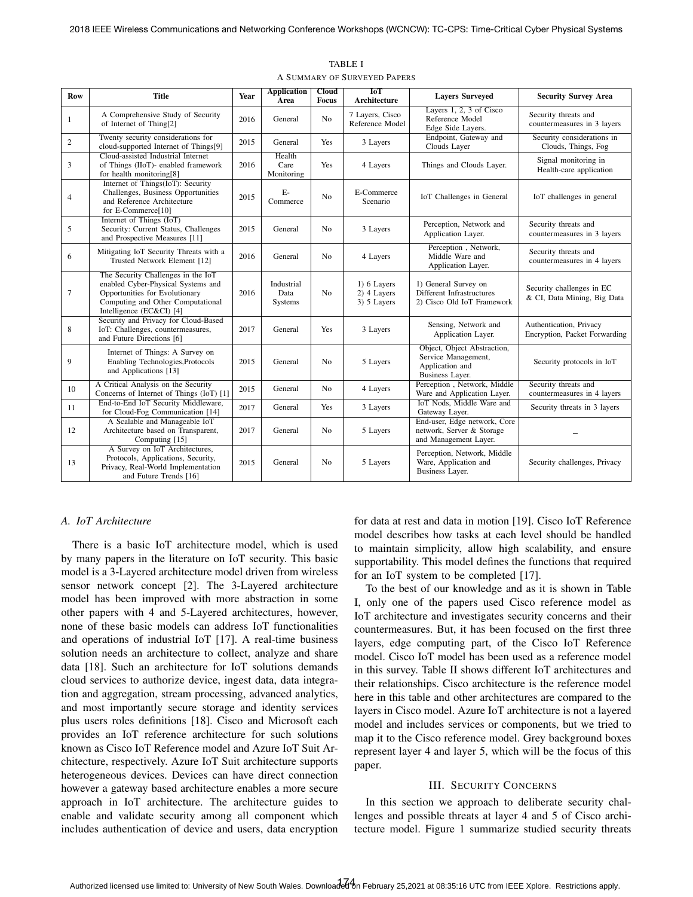|                |                                                                                                                                                                             |      |                               |                              | <b>IoT</b>                                |                                                                                          |                                                          |
|----------------|-----------------------------------------------------------------------------------------------------------------------------------------------------------------------------|------|-------------------------------|------------------------------|-------------------------------------------|------------------------------------------------------------------------------------------|----------------------------------------------------------|
| <b>Row</b>     | <b>Title</b>                                                                                                                                                                | Year | <b>Application</b><br>Area    | <b>Cloud</b><br><b>Focus</b> | <b>Architecture</b>                       | <b>Layers Surveyed</b>                                                                   | <b>Security Survey Area</b>                              |
| 1              | A Comprehensive Study of Security<br>of Internet of Thing[2]                                                                                                                | 2016 | General                       | N <sub>o</sub>               | 7 Layers, Cisco<br>Reference Model        | Layers 1, 2, 3 of Cisco<br>Reference Model<br>Edge Side Layers.                          | Security threats and<br>countermeasures in 3 layers      |
| $\overline{c}$ | Twenty security considerations for<br>cloud-supported Internet of Things[9]                                                                                                 | 2015 | General                       | Yes                          | 3 Layers                                  | Endpoint, Gateway and<br>Clouds Layer                                                    | Security considerations in<br>Clouds, Things, Fog        |
| 3              | Cloud-assisted Industrial Internet<br>of Things (IIoT)- enabled framework<br>for health monitoring[8]                                                                       | 2016 | Health<br>Care<br>Monitoring  | Yes                          | 4 Layers                                  | Things and Clouds Layer.                                                                 | Signal monitoring in<br>Health-care application          |
| 4              | Internet of Things(IoT): Security<br>Challenges, Business Opportunities<br>and Reference Architecture<br>for E-Commerce[10]                                                 | 2015 | $\mathbf{E}$<br>Commerce      | N <sub>0</sub>               | E-Commerce<br>Scenario                    | IoT Challenges in General                                                                | IoT challenges in general                                |
| 5              | Internet of Things (IoT)<br>Security: Current Status, Challenges<br>and Prospective Measures [11]                                                                           | 2015 | General                       | N <sub>0</sub>               | 3 Layers                                  | Perception, Network and<br>Application Layer.                                            | Security threats and<br>countermeasures in 3 layers      |
| 6              | Mitigating loT Security Threats with a<br>Trusted Network Element [12]                                                                                                      | 2016 | General                       | N <sub>o</sub>               | 4 Layers                                  | Perception, Network,<br>Middle Ware and<br>Application Layer.                            | Security threats and<br>countermeasures in 4 layers      |
| $\tau$         | The Security Challenges in the IoT<br>enabled Cyber-Physical Systems and<br>Opportunities for Evolutionary<br>Computing and Other Computational<br>Intelligence (EC&CI) [4] | 2016 | Industrial<br>Data<br>Systems | N <sub>o</sub>               | 1) 6 Layers<br>2) 4 Layers<br>3) 5 Layers | 1) General Survey on<br>Different Infrastructures<br>2) Cisco Old IoT Framework          | Security challenges in EC<br>& CI, Data Mining, Big Data |
| 8              | Security and Privacy for Cloud-Based<br>IoT: Challenges, countermeasures,<br>and Future Directions [6]                                                                      | 2017 | General                       | Yes                          | 3 Layers                                  | Sensing, Network and<br>Application Layer.                                               | Authentication, Privacy<br>Encryption, Packet Forwarding |
| 9              | Internet of Things: A Survey on<br>Enabling Technologies, Protocols<br>and Applications [13]                                                                                | 2015 | General                       | N <sub>0</sub>               | 5 Layers                                  | Object, Object Abstraction,<br>Service Management,<br>Application and<br>Business Layer. | Security protocols in IoT                                |
| 10             | A Critical Analysis on the Security<br>Concerns of Internet of Things (IoT) [1]                                                                                             | 2015 | General                       | N <sub>o</sub>               | 4 Layers                                  | Perception, Network, Middle<br>Ware and Application Layer.                               | Security threats and<br>countermeasures in 4 layers      |
| 11             | End-to-End IoT Security Middleware,<br>for Cloud-Fog Communication [14]                                                                                                     | 2017 | General                       | Yes                          | 3 Layers                                  | IoT Nods, Middle Ware and<br>Gateway Layer.                                              | Security threats in 3 layers                             |
| 12             | A Scalable and Manageable IoT<br>Architecture based on Transparent,<br>Computing [15]                                                                                       | 2017 | General                       | N <sub>o</sub>               | 5 Layers                                  | End-user, Edge network, Core<br>network, Server & Storage<br>and Management Layer.       |                                                          |
| 13             | A Survey on IoT Architectures,<br>Protocols, Applications, Security,<br>Privacy, Real-World Implementation<br>and Future Trends [16]                                        | 2015 | General                       | No                           | 5 Layers                                  | Perception, Network, Middle<br>Ware, Application and<br>Business Layer.                  | Security challenges, Privacy                             |

TABLE I A SUMMARY OF SURVEYED PAPERS

## *A. IoT Architecture*

There is a basic IoT architecture model, which is used by many papers in the literature on IoT security. This basic model is a 3-Layered architecture model driven from wireless sensor network concept [2]. The 3-Layered architecture model has been improved with more abstraction in some other papers with 4 and 5-Layered architectures, however, none of these basic models can address IoT functionalities and operations of industrial IoT [17]. A real-time business solution needs an architecture to collect, analyze and share data [18]. Such an architecture for IoT solutions demands cloud services to authorize device, ingest data, data integration and aggregation, stream processing, advanced analytics, and most importantly secure storage and identity services plus users roles definitions [18]. Cisco and Microsoft each provides an IoT reference architecture for such solutions known as Cisco IoT Reference model and Azure IoT Suit Architecture, respectively. Azure IoT Suit architecture supports heterogeneous devices. Devices can have direct connection however a gateway based architecture enables a more secure approach in IoT architecture. The architecture guides to enable and validate security among all component which includes authentication of device and users, data encryption

for data at rest and data in motion [19]. Cisco IoT Reference model describes how tasks at each level should be handled to maintain simplicity, allow high scalability, and ensure supportability. This model defines the functions that required for an IoT system to be completed [17].

To the best of our knowledge and as it is shown in Table I, only one of the papers used Cisco reference model as IoT architecture and investigates security concerns and their countermeasures. But, it has been focused on the first three layers, edge computing part, of the Cisco IoT Reference model. Cisco IoT model has been used as a reference model in this survey. Table II shows different IoT architectures and their relationships. Cisco architecture is the reference model here in this table and other architectures are compared to the layers in Cisco model. Azure IoT architecture is not a layered model and includes services or components, but we tried to map it to the Cisco reference model. Grey background boxes represent layer 4 and layer 5, which will be the focus of this paper.

## III. SECURITY CONCERNS

In this section we approach to deliberate security challenges and possible threats at layer 4 and 5 of Cisco architecture model. Figure 1 summarize studied security threats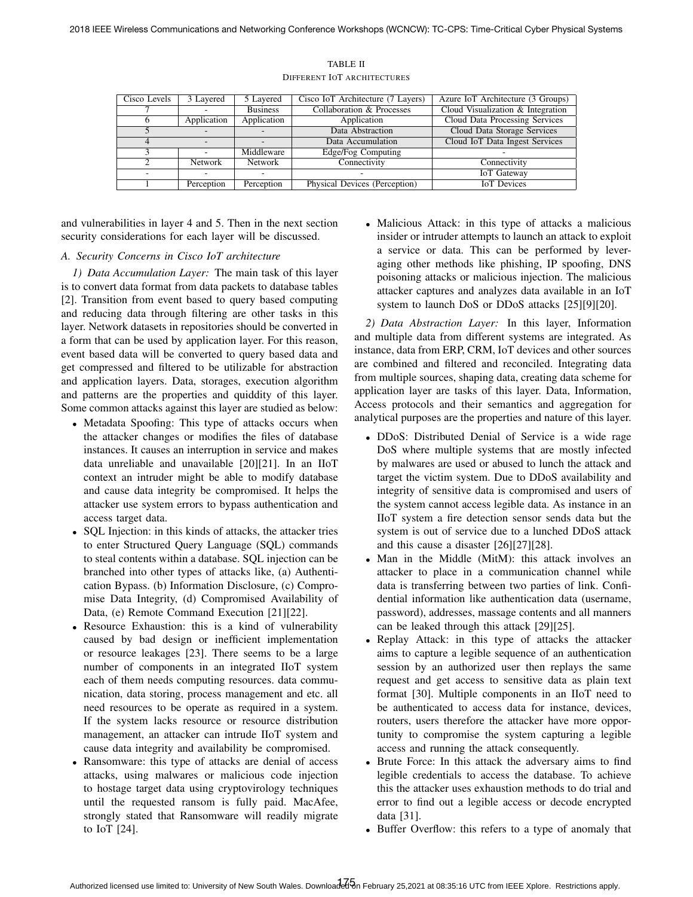| Cisco Levels | 3 Layered   | 5 Layered       | Cisco IoT Architecture (7 Layers) | Azure IoT Architecture (3 Groups) |
|--------------|-------------|-----------------|-----------------------------------|-----------------------------------|
|              |             | <b>Business</b> | Collaboration & Processes         | Cloud Visualization & Integration |
|              | Application | Application     | Application                       | Cloud Data Processing Services    |
|              |             |                 | Data Abstraction                  | Cloud Data Storage Services       |
|              |             |                 | Data Accumulation                 | Cloud IoT Data Ingest Services    |
|              |             | Middleware      | Edge/Fog Computing                |                                   |
| $\gamma$     | Network     | <b>Network</b>  | Connectivity                      | Connectivity                      |
|              |             |                 |                                   | <b>IoT</b> Gateway                |
|              | Perception  | Perception      | Physical Devices (Perception)     | <b>IoT</b> Devices                |

TABLE II DIFFERENT IOT ARCHITECTURES

and vulnerabilities in layer 4 and 5. Then in the next section security considerations for each layer will be discussed.

#### *A. Security Concerns in Cisco IoT architecture*

*1) Data Accumulation Layer:* The main task of this layer is to convert data format from data packets to database tables [2]. Transition from event based to query based computing and reducing data through filtering are other tasks in this layer. Network datasets in repositories should be converted in a form that can be used by application layer. For this reason, event based data will be converted to query based data and get compressed and filtered to be utilizable for abstraction and application layers. Data, storages, execution algorithm and patterns are the properties and quiddity of this layer. Some common attacks against this layer are studied as below:

- Metadata Spoofing: This type of attacks occurs when the attacker changes or modifies the files of database instances. It causes an interruption in service and makes data unreliable and unavailable [20][21]. In an IIoT context an intruder might be able to modify database and cause data integrity be compromised. It helps the attacker use system errors to bypass authentication and access target data.
- SQL Injection: in this kinds of attacks, the attacker tries to enter Structured Query Language (SQL) commands to steal contents within a database. SQL injection can be branched into other types of attacks like, (a) Authentication Bypass. (b) Information Disclosure, (c) Compromise Data Integrity, (d) Compromised Availability of Data, (e) Remote Command Execution [21][22].
- Resource Exhaustion: this is a kind of vulnerability caused by bad design or inefficient implementation or resource leakages [23]. There seems to be a large number of components in an integrated IIoT system each of them needs computing resources. data communication, data storing, process management and etc. all need resources to be operate as required in a system. If the system lacks resource or resource distribution management, an attacker can intrude IIoT system and cause data integrity and availability be compromised.
- Ransomware: this type of attacks are denial of access attacks, using malwares or malicious code injection to hostage target data using cryptovirology techniques until the requested ransom is fully paid. MacAfee, strongly stated that Ransomware will readily migrate to IoT [24].

• Malicious Attack: in this type of attacks a malicious insider or intruder attempts to launch an attack to exploit a service or data. This can be performed by leveraging other methods like phishing, IP spoofing, DNS poisoning attacks or malicious injection. The malicious attacker captures and analyzes data available in an IoT system to launch DoS or DDoS attacks [25][9][20].

*2) Data Abstraction Layer:* In this layer, Information and multiple data from different systems are integrated. As instance, data from ERP, CRM, IoT devices and other sources are combined and filtered and reconciled. Integrating data from multiple sources, shaping data, creating data scheme for application layer are tasks of this layer. Data, Information, Access protocols and their semantics and aggregation for analytical purposes are the properties and nature of this layer.

- DDoS: Distributed Denial of Service is a wide rage DoS where multiple systems that are mostly infected by malwares are used or abused to lunch the attack and target the victim system. Due to DDoS availability and integrity of sensitive data is compromised and users of the system cannot access legible data. As instance in an IIoT system a fire detection sensor sends data but the system is out of service due to a lunched DDoS attack and this cause a disaster [26][27][28].
- Man in the Middle (MitM): this attack involves an attacker to place in a communication channel while data is transferring between two parties of link. Confidential information like authentication data (username, password), addresses, massage contents and all manners can be leaked through this attack [29][25].
- Replay Attack: in this type of attacks the attacker aims to capture a legible sequence of an authentication session by an authorized user then replays the same request and get access to sensitive data as plain text format [30]. Multiple components in an IIoT need to be authenticated to access data for instance, devices, routers, users therefore the attacker have more opportunity to compromise the system capturing a legible access and running the attack consequently.
- Brute Force: In this attack the adversary aims to find legible credentials to access the database. To achieve this the attacker uses exhaustion methods to do trial and error to find out a legible access or decode encrypted data [31].
- Buffer Overflow: this refers to a type of anomaly that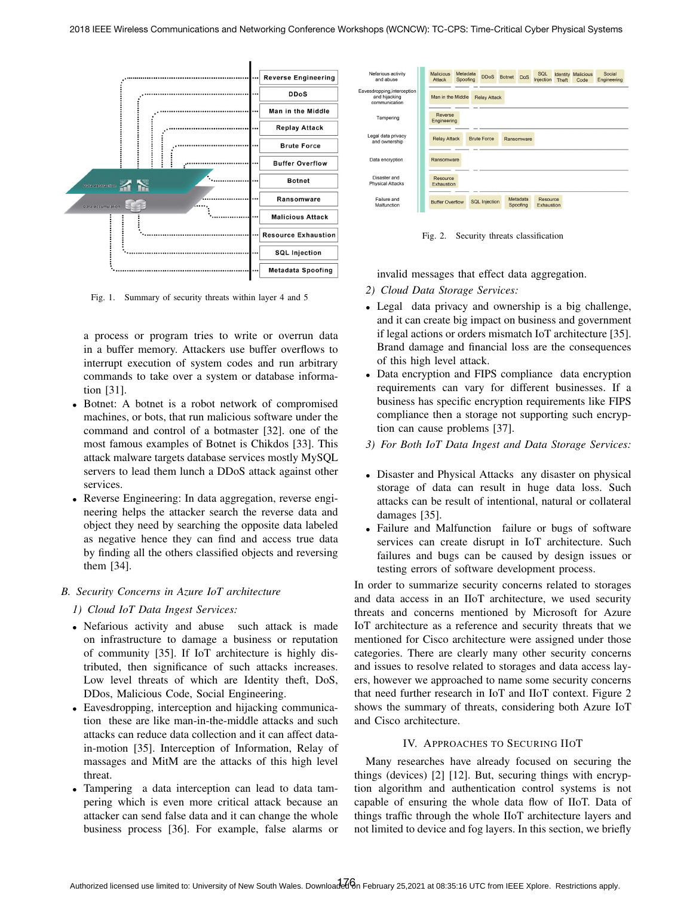

Fig. 1. Summary of security threats within layer 4 and 5

a process or program tries to write or overrun data in a buffer memory. Attackers use buffer overflows to interrupt execution of system codes and run arbitrary commands to take over a system or database information [31].

- Botnet: A botnet is a robot network of compromised machines, or bots, that run malicious software under the command and control of a botmaster [32]. one of the most famous examples of Botnet is Chikdos [33]. This attack malware targets database services mostly MySQL servers to lead them lunch a DDoS attack against other services.
- Reverse Engineering: In data aggregation, reverse engineering helps the attacker search the reverse data and object they need by searching the opposite data labeled as negative hence they can find and access true data by finding all the others classified objects and reversing them [34].

## *B. Security Concerns in Azure IoT architecture*

- *1) Cloud IoT Data Ingest Services:*
- Nefarious activity and abuse such attack is made on infrastructure to damage a business or reputation of community [35]. If IoT architecture is highly distributed, then significance of such attacks increases. Low level threats of which are Identity theft, DoS, DDos, Malicious Code, Social Engineering.
- Eavesdropping, interception and hijacking communication these are like man-in-the-middle attacks and such attacks can reduce data collection and it can affect datain-motion [35]. Interception of Information, Relay of massages and MitM are the attacks of this high level threat.
- Tampering a data interception can lead to data tampering which is even more critical attack because an attacker can send false data and it can change the whole business process [36]. For example, false alarms or

| Nefarious activity<br>and abuse                               | Metadata<br>Malicious<br>Spoofing<br>Attack                        | <b>DDoS</b>          | Botnet | <b>DoS</b>           | SQL<br>Injection       | Theft | <b>Identity Malicious</b><br>Code | Social<br>Engineering |
|---------------------------------------------------------------|--------------------------------------------------------------------|----------------------|--------|----------------------|------------------------|-------|-----------------------------------|-----------------------|
| Eavesdropping, interception<br>and hijacking<br>communication | Man in the Middle<br><b>Relay Attack</b><br>Reverse<br>Engineering |                      |        |                      |                        |       |                                   |                       |
| Tampering                                                     |                                                                    |                      |        |                      |                        |       |                                   |                       |
| Legal data privacy<br>and ownership                           | <b>Brute Force</b><br><b>Relay Attack</b><br>Ransomware            |                      |        |                      |                        |       |                                   |                       |
| Data encryption                                               | Ransomware                                                         |                      |        |                      |                        |       |                                   |                       |
| Disaster and<br><b>Physical Attacks</b>                       | Resource<br>Exhaustion                                             |                      |        |                      |                        |       |                                   |                       |
| Failure and<br>Malfunction                                    | <b>Buffer Overflow</b>                                             | <b>SQL Injection</b> |        | Metadata<br>Spoofing | Resource<br>Exhaustion |       |                                   |                       |

Fig. 2. Security threats classification

invalid messages that effect data aggregation.

- *2) Cloud Data Storage Services:*
- Legal data privacy and ownership is a big challenge, and it can create big impact on business and government if legal actions or orders mismatch IoT architecture [35]. Brand damage and financial loss are the consequences of this high level attack.
- Data encryption and FIPS compliance data encryption requirements can vary for different businesses. If a business has specific encryption requirements like FIPS compliance then a storage not supporting such encryption can cause problems [37].
- *3) For Both IoT Data Ingest and Data Storage Services:*
- Disaster and Physical Attacks any disaster on physical storage of data can result in huge data loss. Such attacks can be result of intentional, natural or collateral damages [35].
- Failure and Malfunction failure or bugs of software services can create disrupt in IoT architecture. Such failures and bugs can be caused by design issues or testing errors of software development process.

In order to summarize security concerns related to storages and data access in an IIoT architecture, we used security threats and concerns mentioned by Microsoft for Azure IoT architecture as a reference and security threats that we mentioned for Cisco architecture were assigned under those categories. There are clearly many other security concerns and issues to resolve related to storages and data access layers, however we approached to name some security concerns that need further research in IoT and IIoT context. Figure 2 shows the summary of threats, considering both Azure IoT and Cisco architecture.

## IV. APPROACHES TO SECURING IIOT

Many researches have already focused on securing the things (devices) [2] [12]. But, securing things with encryption algorithm and authentication control systems is not capable of ensuring the whole data flow of IIoT. Data of things traffic through the whole IIoT architecture layers and not limited to device and fog layers. In this section, we briefly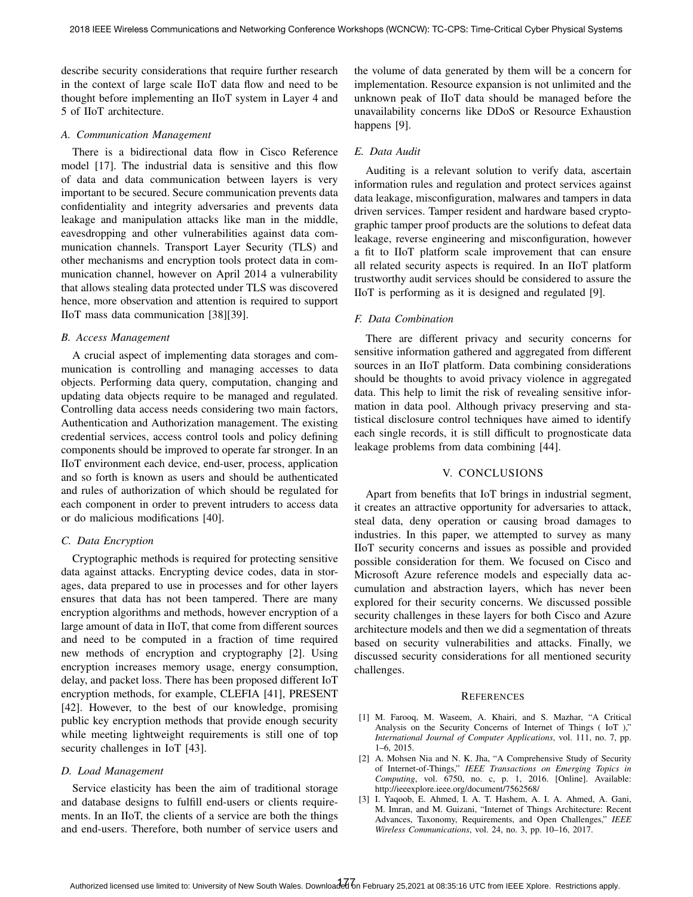describe security considerations that require further research in the context of large scale IIoT data flow and need to be thought before implementing an IIoT system in Layer 4 and 5 of IIoT architecture.

### *A. Communication Management*

There is a bidirectional data flow in Cisco Reference model [17]. The industrial data is sensitive and this flow of data and data communication between layers is very important to be secured. Secure communication prevents data confidentiality and integrity adversaries and prevents data leakage and manipulation attacks like man in the middle, eavesdropping and other vulnerabilities against data communication channels. Transport Layer Security (TLS) and other mechanisms and encryption tools protect data in communication channel, however on April 2014 a vulnerability that allows stealing data protected under TLS was discovered hence, more observation and attention is required to support IIoT mass data communication [38][39].

#### *B. Access Management*

A crucial aspect of implementing data storages and communication is controlling and managing accesses to data objects. Performing data query, computation, changing and updating data objects require to be managed and regulated. Controlling data access needs considering two main factors, Authentication and Authorization management. The existing credential services, access control tools and policy defining components should be improved to operate far stronger. In an IIoT environment each device, end-user, process, application and so forth is known as users and should be authenticated and rules of authorization of which should be regulated for each component in order to prevent intruders to access data or do malicious modifications [40].

## *C. Data Encryption*

Cryptographic methods is required for protecting sensitive data against attacks. Encrypting device codes, data in storages, data prepared to use in processes and for other layers ensures that data has not been tampered. There are many encryption algorithms and methods, however encryption of a large amount of data in IIoT, that come from different sources and need to be computed in a fraction of time required new methods of encryption and cryptography [2]. Using encryption increases memory usage, energy consumption, delay, and packet loss. There has been proposed different IoT encryption methods, for example, CLEFIA [41], PRESENT [42]. However, to the best of our knowledge, promising public key encryption methods that provide enough security while meeting lightweight requirements is still one of top security challenges in IoT [43].

## *D. Load Management*

Service elasticity has been the aim of traditional storage and database designs to fulfill end-users or clients requirements. In an IIoT, the clients of a service are both the things and end-users. Therefore, both number of service users and the volume of data generated by them will be a concern for implementation. Resource expansion is not unlimited and the unknown peak of IIoT data should be managed before the unavailability concerns like DDoS or Resource Exhaustion happens [9].

#### *E. Data Audit*

Auditing is a relevant solution to verify data, ascertain information rules and regulation and protect services against data leakage, misconfiguration, malwares and tampers in data driven services. Tamper resident and hardware based cryptographic tamper proof products are the solutions to defeat data leakage, reverse engineering and misconfiguration, however a fit to IIoT platform scale improvement that can ensure all related security aspects is required. In an IIoT platform trustworthy audit services should be considered to assure the IIoT is performing as it is designed and regulated [9].

#### *F. Data Combination*

There are different privacy and security concerns for sensitive information gathered and aggregated from different sources in an IIoT platform. Data combining considerations should be thoughts to avoid privacy violence in aggregated data. This help to limit the risk of revealing sensitive information in data pool. Although privacy preserving and statistical disclosure control techniques have aimed to identify each single records, it is still difficult to prognosticate data leakage problems from data combining [44].

## V. CONCLUSIONS

Apart from benefits that IoT brings in industrial segment, it creates an attractive opportunity for adversaries to attack, steal data, deny operation or causing broad damages to industries. In this paper, we attempted to survey as many IIoT security concerns and issues as possible and provided possible consideration for them. We focused on Cisco and Microsoft Azure reference models and especially data accumulation and abstraction layers, which has never been explored for their security concerns. We discussed possible security challenges in these layers for both Cisco and Azure architecture models and then we did a segmentation of threats based on security vulnerabilities and attacks. Finally, we discussed security considerations for all mentioned security challenges.

#### **REFERENCES**

- [1] M. Farooq, M. Waseem, A. Khairi, and S. Mazhar, "A Critical Analysis on the Security Concerns of Internet of Things ( IoT )," *International Journal of Computer Applications*, vol. 111, no. 7, pp. 1–6, 2015.
- [2] A. Mohsen Nia and N. K. Jha, "A Comprehensive Study of Security of Internet-of-Things," *IEEE Transactions on Emerging Topics in Computing*, vol. 6750, no. c, p. 1, 2016. [Online]. Available: http://ieeexplore.ieee.org/document/7562568/
- [3] I. Yaqoob, E. Ahmed, I. A. T. Hashem, A. I. A. Ahmed, A. Gani, M. Imran, and M. Guizani, "Internet of Things Architecture: Recent Advances, Taxonomy, Requirements, and Open Challenges," *IEEE Wireless Communications*, vol. 24, no. 3, pp. 10–16, 2017.